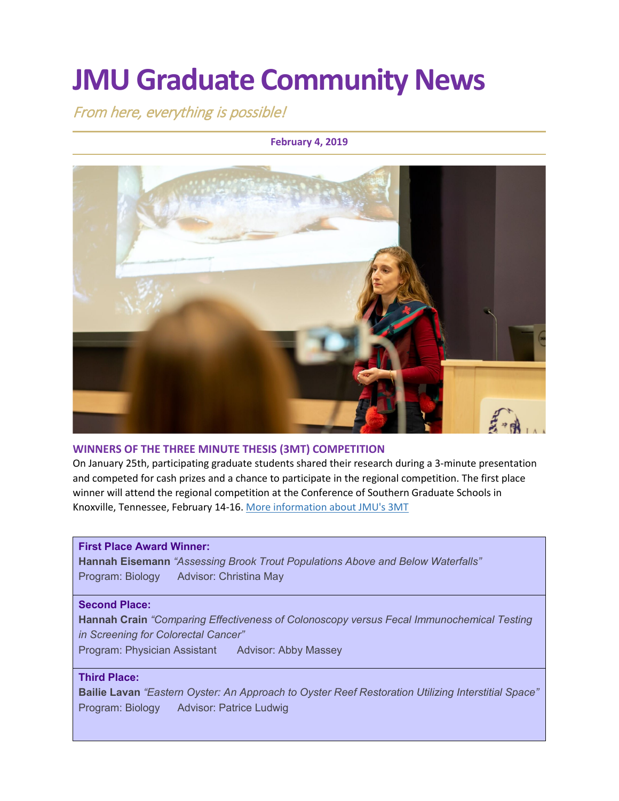# **JMU Graduate Community News**

From here, everything is possible!

### **February 4, 2019**



### **WINNERS OF THE THREE MINUTE THESIS (3MT) COMPETITION**

On January 25th, participating graduate students shared their research during a 3-minute presentation and competed for cash prizes and a chance to participate in the regional competition. The first place winner will attend the regional competition at the Conference of Southern Graduate Schools in Knoxville, Tennessee, February 14-16. [More information about JMU's 3MT](http://www.jmu.edu/grad/current-students/three-minute-thesis.shtml)

#### **First Place Award Winner:**

**Hannah Eisemann** *"Assessing Brook Trout Populations Above and Below Waterfalls"* Program: Biology Advisor: Christina May

#### **Second Place:**

**Hannah Crain** *"Comparing Effectiveness of Colonoscopy versus Fecal Immunochemical Testing in Screening for Colorectal Cancer"*

Program: Physician Assistant Advisor: Abby Massey

### **Third Place:**

**Bailie Lavan** *"Eastern Oyster: An Approach to Oyster Reef Restoration Utilizing Interstitial Space"* Program: Biology Advisor: Patrice Ludwig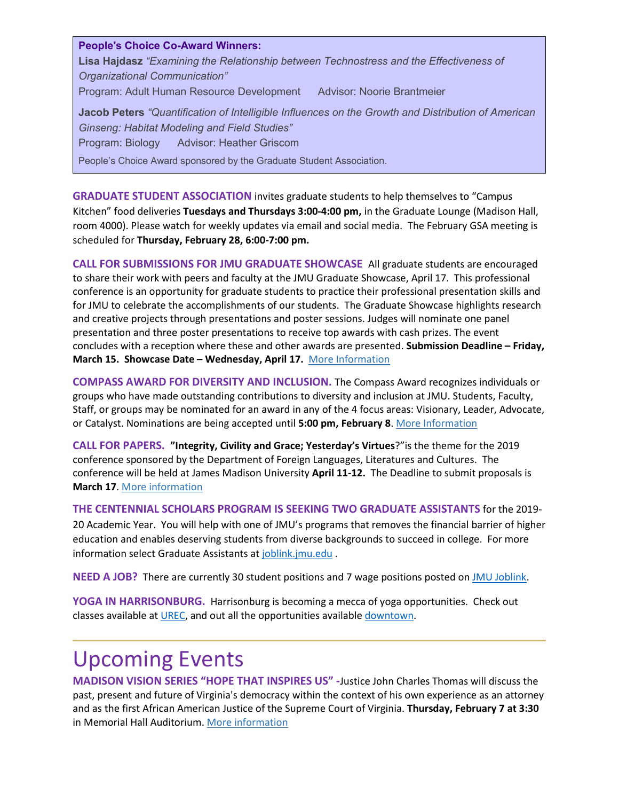**People's Choice Co-Award Winners: Lisa Hajdasz** *"Examining the Relationship between Technostress and the Effectiveness of Organizational Communication"* Program: Adult Human Resource Development Advisor: Noorie Brantmeier **Jacob Peters** *"Quantification of Intelligible Influences on the Growth and Distribution of American Ginseng: Habitat Modeling and Field Studies"* Program: Biology Advisor: Heather Griscom People's Choice Award sponsored by the Graduate Student Association.

**GRADUATE STUDENT ASSOCIATION** invites graduate students to help themselves to "Campus Kitchen" food deliveries **Tuesdays and Thursdays 3:00-4:00 pm,** in the Graduate Lounge (Madison Hall, room 4000). Please watch for weekly updates via email and social media. The February GSA meeting is scheduled for **Thursday, February 28, 6:00-7:00 pm.**

**CALL FOR SUBMISSIONS FOR JMU GRADUATE SHOWCASE** All graduate students are encouraged to share their work with peers and faculty at the JMU Graduate Showcase, April 17. This professional conference is an opportunity for graduate students to practice their professional presentation skills and for JMU to celebrate the accomplishments of our students. The Graduate Showcase highlights research and creative projects through presentations and poster sessions. Judges will nominate one panel presentation and three poster presentations to receive top awards with cash prizes. The event concludes with a reception where these and other awards are presented. **Submission Deadline – Friday, March 15. Showcase Date – Wednesday, April 17.** [More Information](http://www.jmu.edu/grad/GraduateShowcase/index.shtml)

**COMPASS AWARD FOR DIVERSITY AND INCLUSION.** The Compass Award recognizes individuals or groups who have made outstanding contributions to diversity and inclusion at JMU. Students, Faculty, Staff, or groups may be nominated for an award in any of the 4 focus areas: Visionary, Leader, Advocate, or Catalyst. Nominations are being accepted until **5:00 pm, February 8**[. More Information](http://www.jmu.edu/diversity/programs-and-events/compass-award.shtml)

**CALL FOR PAPERS. "Integrity, Civility and Grace; Yesterday's Virtues**?"is the theme for the 2019 conference sponsored by the Department of Foreign Languages, Literatures and Cultures. The conference will be held at James Madison University **April 11-12.** The Deadline to submit proposals is **March 17**. [More information](https://www.jmu.edu/forlang/conferenceFLLC/call.shtml)

**THE CENTENNIAL SCHOLARS PROGRAM IS SEEKING TWO GRADUATE ASSISTANTS** for the 2019- 20 Academic Year. You will help with one of JMU's programs that removes the financial barrier of higher education and enables deserving students from diverse backgrounds to succeed in college. For more information select Graduate Assistants at [joblink.jmu.edu](https://joblink.jmu.edu/).

**NEED A JOB?** There are currently 30 student positions and 7 wage positions posted o[n JMU Joblink.](https://joblink.jmu.edu/)

**YOGA IN HARRISONBURG.** Harrisonburg is becoming a mecca of yoga opportunities. Check out classes available at [UREC,](http://www.jmu.edu/recreation/) and out all the opportunities available [downtown.](https://downtownharrisonburg.org/a-healthy-harrisonburg-an-even-healthier-you/)

### Upcoming Events

**MADISON VISION SERIES "HOPE THAT INSPIRES US" -**Justice John Charles Thomas will discuss the past, present and future of Virginia's democracy within the context of his own experience as an attorney and as the first African American Justice of the Supreme Court of Virginia. **Thursday, February 7 at 3:30**  in Memorial Hall Auditorium[. More information](http://www.jmu.edu/president/mvs/index.shtml)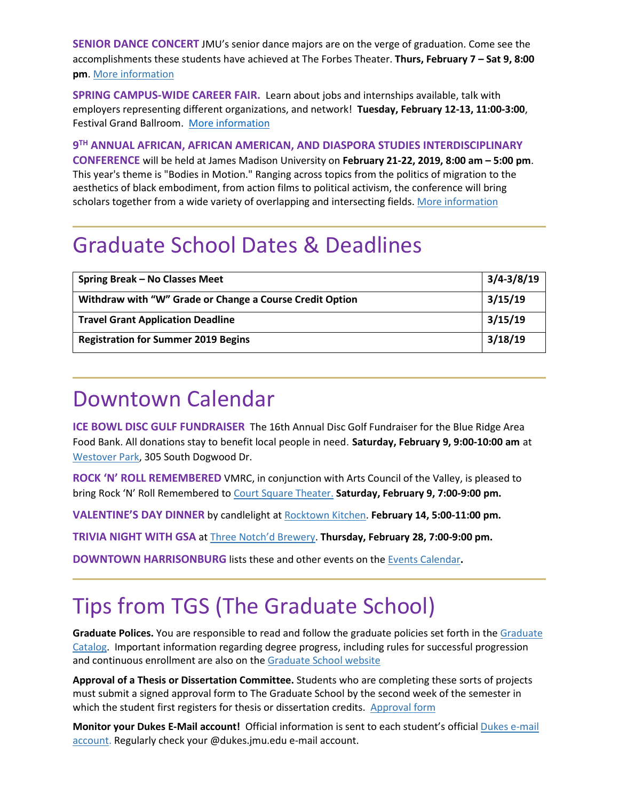**SENIOR DANCE CONCERT** JMU's senior dance majors are on the verge of graduation. Come see the accomplishments these students have achieved at The Forbes Theater. **Thurs, February 7 – Sat 9, 8:00 pm**[. More information](http://www.jmuforbescenter.com/forbescenter/events/2019/02/07-senior-dance-concert.shtml)

**SPRING CAMPUS-WIDE CAREER FAIR.** Learn about jobs and internships available, talk with employers representing different organizations, and network! **Tuesday, February 12-13, 11:00-3:00**, Festival Grand Ballroom. [More information](https://www.jmu.edu/cap/events/careerfair/index.shtml)

**9TH ANNUAL AFRICAN, AFRICAN AMERICAN, AND DIASPORA STUDIES INTERDISCIPLINARY CONFERENCE** will be held at James Madison University on **February 21-22, 2019, 8:00 am – 5:00 pm**. This year's theme is "Bodies in Motion." Ranging across topics from the politics of migration to the aesthetics of black embodiment, from action films to political activism, the conference will bring scholars together from a wide variety of overlapping and intersecting fields. [More information](https://www.jmu.edu/events/africana/01-event.shtml)

### Graduate School Dates & Deadlines

| Spring Break - No Classes Meet                           | $3/4 - 3/8/19$ |
|----------------------------------------------------------|----------------|
| Withdraw with "W" Grade or Change a Course Credit Option | 3/15/19        |
| <b>Travel Grant Application Deadline</b>                 | 3/15/19        |
| <b>Registration for Summer 2019 Begins</b>               | 3/18/19        |

### Downtown Calendar

**ICE BOWL DISC GULF FUNDRAISER** The 16th Annual Disc Golf Fundraiser for the Blue Ridge Area Food Bank. All donations stay to benefit local people in need. **Saturday, February 9, 9:00-10:00 am** at [Westover Park,](https://www.harrisonburgva.gov/ice-bowl) 305 South Dogwood Dr.

**ROCK 'N' ROLL REMEMBERED** VMRC, in conjunction with Arts Council of the Valley, is pleased to bring Rock 'N' Roll Remembered to [Court Square Theater.](http://www.valleyarts.org/cst/) **Saturday, February 9, 7:00-9:00 pm.**

**VALENTINE'S DAY DINNER** by candlelight at [Rocktown Kitchen.](http://rocktownkitchen.com/valentines-day-dinner/) **February 14, 5:00-11:00 pm.**

**TRIVIA NIGHT WITH GSA** at [Three Notch'd Brewery.](https://threenotchdbrewing.com/) **Thursday, February 28, 7:00-9:00 pm.**

**DOWNTOWN HARRISONBURG** lists these and other events on the [Events Calendar](https://www.visitharrisonburgva.com/calendar-of-events/)**.**

## Tips from TGS (The Graduate School)

**Graduate Polices.** You are responsible to read and follow the graduate policies set forth in the [Graduate](http://jmu.edu/catalog)  [Catalog.](http://jmu.edu/catalog) Important information regarding degree progress, including rules for successful progression and continuous enrollment are also on the [Graduate School website](http://www.jmu.edu/grad/current-students/degree-progress/beginning.shtml)

**Approval of a Thesis or Dissertation Committee.** Students who are completing these sorts of projects must submit a signed approval form to The Graduate School by the second week of the semester in which the student first registers for thesis or dissertation credits. [Approval form](https://www.jmu.edu/grad/_files/CommitteeApprovalForm2017-18.pdf)

**Monitor your Dukes E-Mail account!** Official information is sent to each student's officia[l Dukes e-mail](http://www.jmu.edu/computing/helpdesk/selfhelp/DukesEmail.shtml)  [account.](http://www.jmu.edu/computing/helpdesk/selfhelp/DukesEmail.shtml) Regularly check your @dukes.jmu.edu e-mail account.